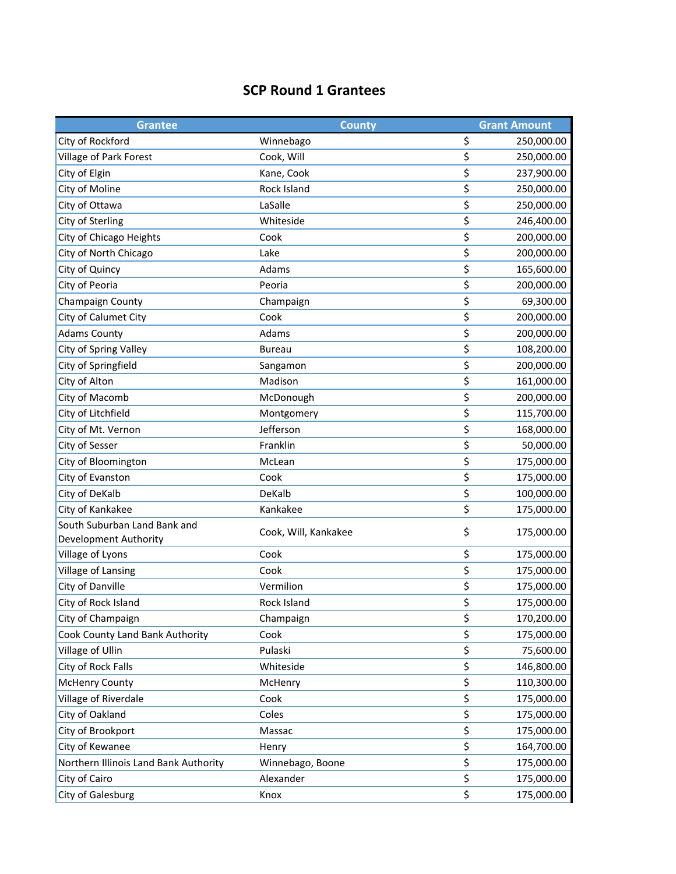## **SCP Round 1 Grantees**

| <b>Grantee</b>                        | <b>County</b>        |    | <b>Grant Amount</b> |
|---------------------------------------|----------------------|----|---------------------|
| City of Rockford                      | Winnebago            | \$ | 250,000.00          |
| <b>Village of Park Forest</b>         | Cook, Will           | \$ | 250,000.00          |
| City of Elgin                         | Kane, Cook           | \$ | 237,900.00          |
| City of Moline                        | Rock Island          | \$ | 250,000.00          |
| City of Ottawa                        | LaSalle              | \$ | 250,000.00          |
| City of Sterling                      | Whiteside            | \$ | 246,400.00          |
| City of Chicago Heights               | Cook                 | \$ | 200,000.00          |
| City of North Chicago                 | Lake                 | \$ | 200,000.00          |
| City of Quincy                        | Adams                | \$ | 165,600.00          |
| City of Peoria                        | Peoria               | \$ | 200,000.00          |
| Champaign County                      | Champaign            | \$ | 69,300.00           |
| City of Calumet City                  | Cook                 | \$ | 200,000.00          |
| <b>Adams County</b>                   | Adams                | \$ | 200,000.00          |
| City of Spring Valley                 | <b>Bureau</b>        | \$ | 108,200.00          |
| City of Springfield                   | Sangamon             | \$ | 200,000.00          |
| City of Alton                         | Madison              | \$ | 161,000.00          |
| City of Macomb                        | McDonough            | \$ | 200,000.00          |
| City of Litchfield                    | Montgomery           | \$ | 115,700.00          |
| City of Mt. Vernon                    | Jefferson            | \$ | 168,000.00          |
| City of Sesser                        | Franklin             | \$ | 50,000.00           |
| City of Bloomington                   | McLean               | \$ | 175,000.00          |
| City of Evanston                      | Cook                 | \$ | 175,000.00          |
| City of DeKalb                        | DeKalb               | \$ | 100,000.00          |
| City of Kankakee                      | Kankakee             | \$ | 175,000.00          |
| South Suburban Land Bank and          | Cook, Will, Kankakee | \$ | 175,000.00          |
| Development Authority                 |                      |    |                     |
| Village of Lyons                      | Cook                 | \$ | 175,000.00          |
| Village of Lansing                    | Cook                 | \$ | 175,000.00          |
| City of Danville                      | Vermilion            | \$ | 175,000.00          |
| City of Rock Island                   | Rock Island          | \$ | 175,000.00          |
| City of Champaign                     | Champaign            | \$ | 170,200.00          |
| Cook County Land Bank Authority       | Cook                 | \$ | 175,000.00          |
| Village of Ullin                      | Pulaski              | \$ | 75,600.00           |
| City of Rock Falls                    | Whiteside            | \$ | 146,800.00          |
| <b>McHenry County</b>                 | McHenry              | \$ | 110,300.00          |
| Village of Riverdale                  | Cook                 | \$ | 175,000.00          |
| City of Oakland                       | Coles                | \$ | 175,000.00          |
| City of Brookport                     | Massac               | \$ | 175,000.00          |
| City of Kewanee                       | Henry                | \$ | 164,700.00          |
| Northern Illinois Land Bank Authority | Winnebago, Boone     | \$ | 175,000.00          |
| City of Cairo                         | Alexander            | \$ | 175,000.00          |
| City of Galesburg                     | Knox                 | \$ | 175,000.00          |